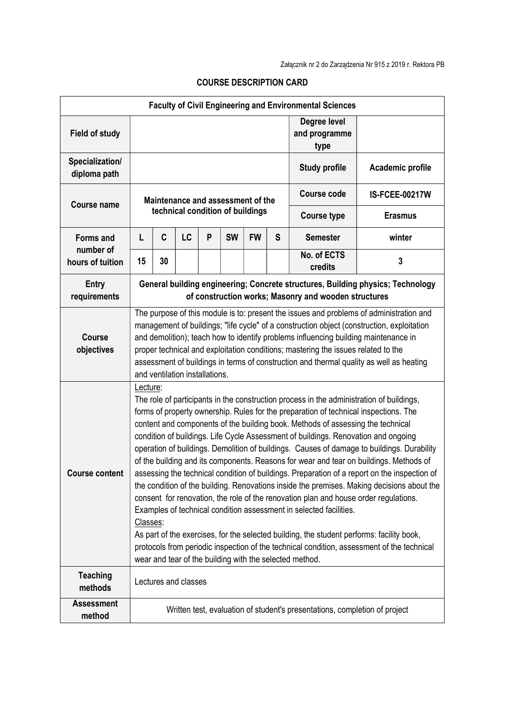| <b>Faculty of Civil Engineering and Environmental Sciences</b> |                                                                                                                                                                                                                                                                                                                                                                                                                                                                                                                                                                                                                                                                                                                                                                                                                                                                                                                                                                                                                                                                                                                                                                                             |    |    |   |                                  |           |                    |                                       |                  |
|----------------------------------------------------------------|---------------------------------------------------------------------------------------------------------------------------------------------------------------------------------------------------------------------------------------------------------------------------------------------------------------------------------------------------------------------------------------------------------------------------------------------------------------------------------------------------------------------------------------------------------------------------------------------------------------------------------------------------------------------------------------------------------------------------------------------------------------------------------------------------------------------------------------------------------------------------------------------------------------------------------------------------------------------------------------------------------------------------------------------------------------------------------------------------------------------------------------------------------------------------------------------|----|----|---|----------------------------------|-----------|--------------------|---------------------------------------|------------------|
| <b>Field of study</b>                                          |                                                                                                                                                                                                                                                                                                                                                                                                                                                                                                                                                                                                                                                                                                                                                                                                                                                                                                                                                                                                                                                                                                                                                                                             |    |    |   |                                  |           |                    | Degree level<br>and programme<br>type |                  |
| Specialization/<br>diploma path                                |                                                                                                                                                                                                                                                                                                                                                                                                                                                                                                                                                                                                                                                                                                                                                                                                                                                                                                                                                                                                                                                                                                                                                                                             |    |    |   |                                  |           |                    | <b>Study profile</b>                  | Academic profile |
|                                                                | Maintenance and assessment of the                                                                                                                                                                                                                                                                                                                                                                                                                                                                                                                                                                                                                                                                                                                                                                                                                                                                                                                                                                                                                                                                                                                                                           |    |    |   |                                  |           | <b>Course code</b> | <b>IS-FCEE-00217W</b>                 |                  |
| <b>Course name</b>                                             |                                                                                                                                                                                                                                                                                                                                                                                                                                                                                                                                                                                                                                                                                                                                                                                                                                                                                                                                                                                                                                                                                                                                                                                             |    |    |   | technical condition of buildings |           |                    | <b>Course type</b>                    | <b>Erasmus</b>   |
| <b>Forms and</b><br>number of<br>hours of tuition              | L                                                                                                                                                                                                                                                                                                                                                                                                                                                                                                                                                                                                                                                                                                                                                                                                                                                                                                                                                                                                                                                                                                                                                                                           | C  | LC | P | <b>SW</b>                        | <b>FW</b> | S                  | <b>Semester</b>                       | winter           |
|                                                                | 15                                                                                                                                                                                                                                                                                                                                                                                                                                                                                                                                                                                                                                                                                                                                                                                                                                                                                                                                                                                                                                                                                                                                                                                          | 30 |    |   |                                  |           |                    | No. of ECTS<br>credits                | 3                |
| <b>Entry</b><br>requirements                                   | General building engineering; Concrete structures, Building physics; Technology<br>of construction works; Masonry and wooden structures                                                                                                                                                                                                                                                                                                                                                                                                                                                                                                                                                                                                                                                                                                                                                                                                                                                                                                                                                                                                                                                     |    |    |   |                                  |           |                    |                                       |                  |
| Course<br>objectives                                           | The purpose of this module is to: present the issues and problems of administration and<br>management of buildings; "life cycle" of a construction object (construction, exploitation<br>and demolition); teach how to identify problems influencing building maintenance in<br>proper technical and exploitation conditions; mastering the issues related to the<br>assessment of buildings in terms of construction and thermal quality as well as heating<br>and ventilation installations.                                                                                                                                                                                                                                                                                                                                                                                                                                                                                                                                                                                                                                                                                              |    |    |   |                                  |           |                    |                                       |                  |
| <b>Course content</b>                                          | Lecture:<br>The role of participants in the construction process in the administration of buildings,<br>forms of property ownership. Rules for the preparation of technical inspections. The<br>content and components of the building book. Methods of assessing the technical<br>condition of buildings. Life Cycle Assessment of buildings. Renovation and ongoing<br>operation of buildings. Demolition of buildings. Causes of damage to buildings. Durability<br>of the building and its components. Reasons for wear and tear on buildings. Methods of<br>assessing the technical condition of buildings. Preparation of a report on the inspection of<br>the condition of the building. Renovations inside the premises. Making decisions about the<br>consent for renovation, the role of the renovation plan and house order regulations.<br>Examples of technical condition assessment in selected facilities.<br>Classes:<br>As part of the exercises, for the selected building, the student performs: facility book,<br>protocols from periodic inspection of the technical condition, assessment of the technical<br>wear and tear of the building with the selected method. |    |    |   |                                  |           |                    |                                       |                  |
| <b>Teaching</b><br>methods                                     | Lectures and classes                                                                                                                                                                                                                                                                                                                                                                                                                                                                                                                                                                                                                                                                                                                                                                                                                                                                                                                                                                                                                                                                                                                                                                        |    |    |   |                                  |           |                    |                                       |                  |
| <b>Assessment</b><br>method                                    | Written test, evaluation of student's presentations, completion of project                                                                                                                                                                                                                                                                                                                                                                                                                                                                                                                                                                                                                                                                                                                                                                                                                                                                                                                                                                                                                                                                                                                  |    |    |   |                                  |           |                    |                                       |                  |

## COURSE DESCRIPTION CARD